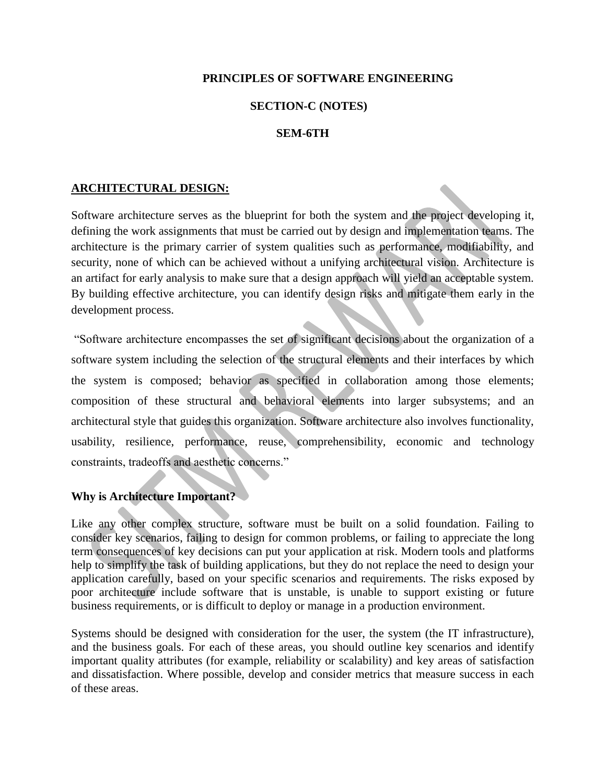#### **PRINCIPLES OF SOFTWARE ENGINEERING**

#### **SECTION-C (NOTES)**

#### **SEM-6TH**

#### **ARCHITECTURAL DESIGN:**

Software architecture serves as the blueprint for both the system and the project developing it, defining the work assignments that must be carried out by design and implementation teams. The architecture is the primary carrier of system qualities such as performance, modifiability, and security, none of which can be achieved without a unifying architectural vision. Architecture is an artifact for early analysis to make sure that a design approach will yield an acceptable system. By building effective architecture, you can identify design risks and mitigate them early in the development process.

"Software architecture encompasses the set of significant decisions about the organization of a software system including the selection of the structural elements and their interfaces by which the system is composed; behavior as specified in collaboration among those elements; composition of these structural and behavioral elements into larger subsystems; and an architectural style that guides this organization. Software architecture also involves functionality, usability, resilience, performance, reuse, comprehensibility, economic and technology constraints, tradeoffs and aesthetic concerns."

# **Why is Architecture Important?**

Like any other complex structure, software must be built on a solid foundation. Failing to consider key scenarios, failing to design for common problems, or failing to appreciate the long term consequences of key decisions can put your application at risk. Modern tools and platforms help to simplify the task of building applications, but they do not replace the need to design your application carefully, based on your specific scenarios and requirements. The risks exposed by poor architecture include software that is unstable, is unable to support existing or future business requirements, or is difficult to deploy or manage in a production environment.

Systems should be designed with consideration for the user, the system (the IT infrastructure), and the business goals. For each of these areas, you should outline key scenarios and identify important quality attributes (for example, reliability or scalability) and key areas of satisfaction and dissatisfaction. Where possible, develop and consider metrics that measure success in each of these areas.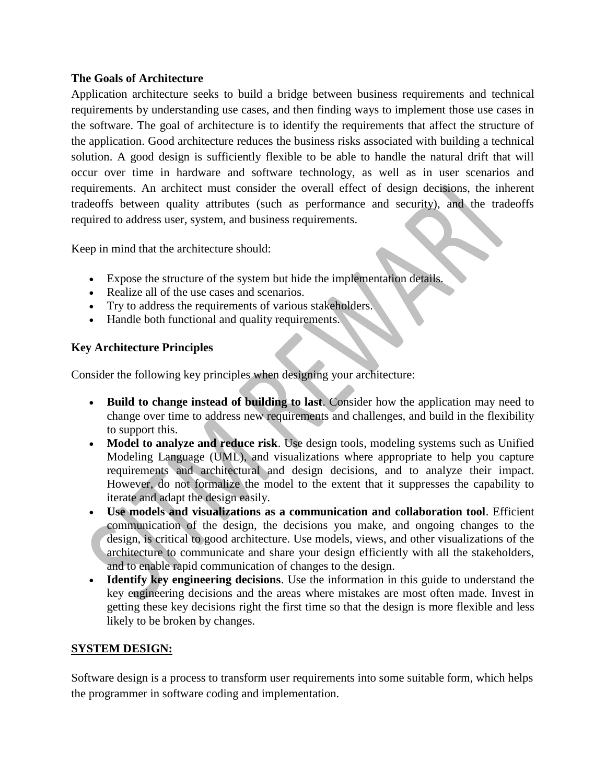# **The Goals of Architecture**

Application architecture seeks to build a bridge between business requirements and technical requirements by understanding use cases, and then finding ways to implement those use cases in the software. The goal of architecture is to identify the requirements that affect the structure of the application. Good architecture reduces the business risks associated with building a technical solution. A good design is sufficiently flexible to be able to handle the natural drift that will occur over time in hardware and software technology, as well as in user scenarios and requirements. An architect must consider the overall effect of design decisions, the inherent tradeoffs between quality attributes (such as performance and security), and the tradeoffs required to address user, system, and business requirements.

Keep in mind that the architecture should:

- Expose the structure of the system but hide the implementation details.
- Realize all of the use cases and scenarios.
- Try to address the requirements of various stakeholders.
- Handle both functional and quality requirements.

# **Key Architecture Principles**

Consider the following key principles when designing your architecture:

- **Build to change instead of building to last**. Consider how the application may need to change over time to address new requirements and challenges, and build in the flexibility to support this.
- **Model to analyze and reduce risk**. Use design tools, modeling systems such as Unified Modeling Language (UML), and visualizations where appropriate to help you capture requirements and architectural and design decisions, and to analyze their impact. However, do not formalize the model to the extent that it suppresses the capability to iterate and adapt the design easily.
- **Use models and visualizations as a communication and collaboration tool**. Efficient communication of the design, the decisions you make, and ongoing changes to the design, is critical to good architecture. Use models, views, and other visualizations of the architecture to communicate and share your design efficiently with all the stakeholders, and to enable rapid communication of changes to the design.
- **Identify key engineering decisions**. Use the information in this guide to understand the key engineering decisions and the areas where mistakes are most often made. Invest in getting these key decisions right the first time so that the design is more flexible and less likely to be broken by changes.

# **SYSTEM DESIGN:**

Software design is a process to transform user requirements into some suitable form, which helps the programmer in software coding and implementation.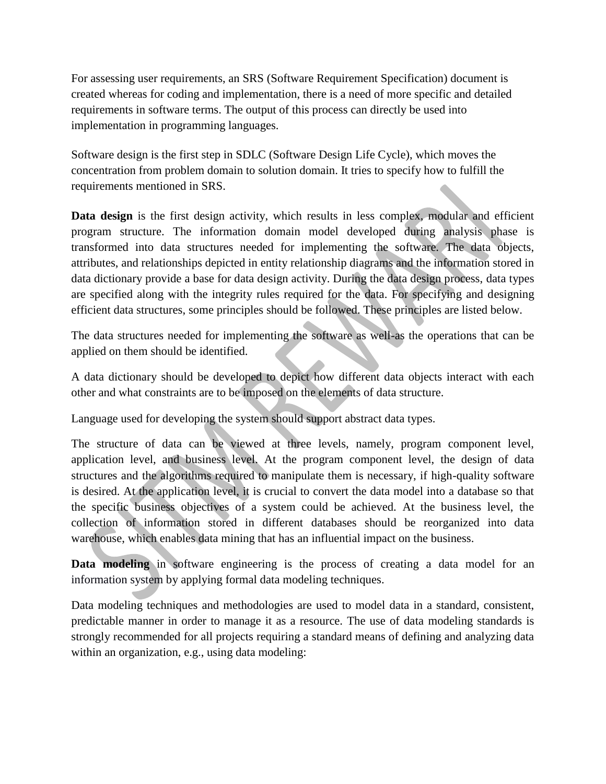For assessing user requirements, an SRS (Software Requirement Specification) document is created whereas for coding and implementation, there is a need of more specific and detailed requirements in software terms. The output of this process can directly be used into implementation in programming languages.

Software design is the first step in SDLC (Software Design Life Cycle), which moves the concentration from problem domain to solution domain. It tries to specify how to fulfill the requirements mentioned in SRS.

**Data design** is the first design activity, which results in less complex, modular and efficient program structure. The information domain model developed during analysis phase is transformed into data structures needed for implementing the software. The data objects, attributes, and relationships depicted in entity relationship diagrams and the information stored in data dictionary provide a base for data design activity. During the data design process, [data types](http://ecomputernotes.com/java/data-type-variable-and-array/explain-data-types-in-java) are specified along with the integrity rules required for the data. For specifying and designing efficient data structures, some principles should be followed. These principles are listed below.

The data structures needed for implementing the software as well-as the operations that can be applied on them should be identified.

A data dictionary should be developed to depict how different data objects interact with each other and what constraints are to be imposed on the elements of data structure.

Language used for developing the system should support abstract data types.

The structure of data can be viewed at three levels, namely, program component level, application level, and business level. At the program component level, the design of data structures and the algorithms required to manipulate them is necessary, if high-quality software is desired. At the application level, it is crucial to convert the data model into a database so that the specific business objectives of a system could be achieved. At the business level, the collection of information stored in different databases should be reorganized into data warehouse, which enables data mining that has an influential impact on the business.

**Data modeling** in [software engineering](https://en.wikipedia.org/wiki/Software_engineering) is the process of creating a [data model](https://en.wikipedia.org/wiki/Data_model) for an [information system](https://en.wikipedia.org/wiki/Information_system) by applying formal data modeling techniques.

Data modeling techniques and methodologies are used to model data in a standard, consistent, predictable manner in order to manage it as a resource. The use of data modeling standards is strongly recommended for all projects requiring a standard means of defining and analyzing data within an organization, e.g., using data modeling: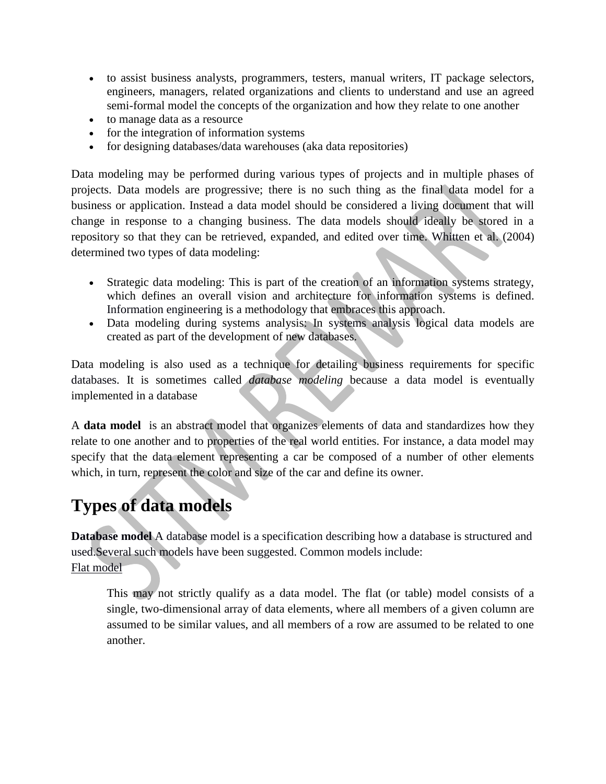- to assist business analysts, programmers, testers, manual writers, IT package selectors, engineers, managers, related organizations and clients to understand and use an agreed semi-formal model the concepts of the organization and how they relate to one another
- to manage data as a resource
- for the integration of information systems
- for designing databases/data warehouses (aka data repositories)

Data modeling may be performed during various types of projects and in multiple phases of projects. Data models are progressive; there is no such thing as the final data model for a business or application. Instead a data model should be considered a living document that will change in response to a changing business. The data models should ideally be stored in a repository so that they can be retrieved, expanded, and edited over time. [Whitten](https://en.wikipedia.org/wiki/Jeffrey_L._Whitten) et al. (2004) determined two types of data modeling:

- Strategic data modeling: This is part of the creation of an information systems strategy, which defines an overall vision and architecture for information systems is defined. [Information engineering](https://en.wikipedia.org/wiki/Information_engineering) is a methodology that embraces this approach.
- Data modeling during systems analysis: In [systems analysis](https://en.wikipedia.org/wiki/Systems_analysis) logical data models are created as part of the development of new databases.

Data modeling is also used as a technique for detailing business [requirements](https://en.wikipedia.org/wiki/Requirement) for specific [databases.](https://en.wikipedia.org/wiki/Database) It is sometimes called *database modeling* because a [data model](https://en.wikipedia.org/wiki/Data_model) is eventually implemented in a database

A **data model** is an abstract model that organizes elements of [data](https://en.wikipedia.org/wiki/Data) and standardizes how they relate to one another and to properties of the real world entities. For instance, a data model may specify that the data element representing a car be composed of a number of other elements which, in turn, represent the color and size of the car and define its owner.

# **Types of data models**

**Database model** A database model is a specification describing how a database is structured and used.Several such models have been suggested. Common models include: [Flat model](https://en.wikipedia.org/wiki/Flat_file_database)

This may not strictly qualify as a data model. The flat (or table) model consists of a single, two-dimensional array of data elements, where all members of a given column are assumed to be similar values, and all members of a row are assumed to be related to one another.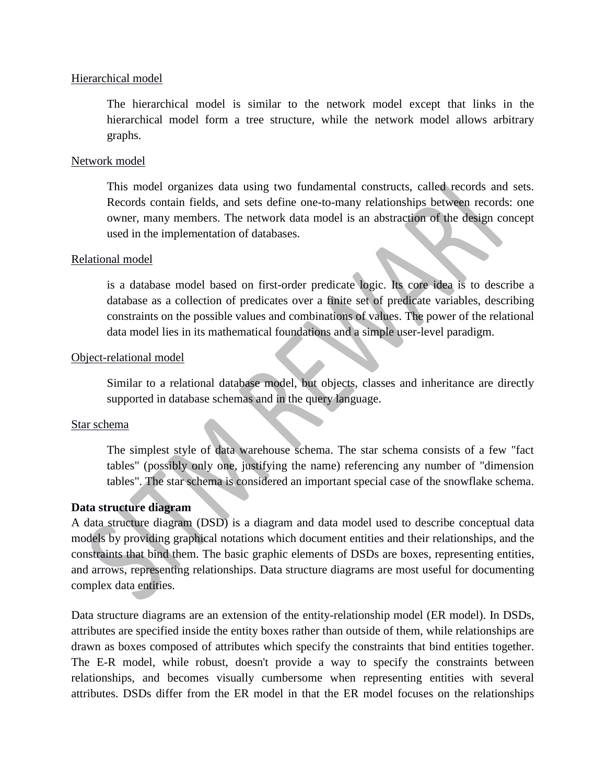#### [Hierarchical model](https://en.wikipedia.org/wiki/Hierarchical_model)

The hierarchical model is similar to the network model except that links in the hierarchical model form a tree structure, while the network model allows arbitrary graphs.

# [Network model](https://en.wikipedia.org/wiki/Network_model)

This model organizes data using two fundamental constructs, called records and sets. Records contain fields, and sets define one-to-many relationships between records: one owner, many members. The network data model is an abstraction of the design concept used in the implementation of databases.

#### [Relational model](https://en.wikipedia.org/wiki/Relational_model)

is a database model based on first-order predicate logic. Its core idea is to describe a database as a collection of predicates over a finite set of predicate variables, describing constraints on the possible values and combinations of values. The power of the relational data model lies in its mathematical foundations and a simple user-level paradigm.

#### [Object-relational model](https://en.wikipedia.org/wiki/Object-relational_model)

Similar to a relational database model, but objects, classes and inheritance are directly supported in [database schemas](https://en.wikipedia.org/wiki/Database_schema) and in the query language.

# [Star schema](https://en.wikipedia.org/wiki/Star_schema)

The simplest style of data warehouse schema. The star schema consists of a few "fact tables" (possibly only one, justifying the name) referencing any number of "dimension tables". The star schema is considered an important special case of the [snowflake schema.](https://en.wikipedia.org/wiki/Snowflake_schema)

#### **Data structure diagram**

A data structure diagram (DSD) is a [diagram](https://en.wikipedia.org/wiki/Diagram) and data model used to describe [conceptual data](https://en.wikipedia.org/wiki/Conceptual_schema)  [models](https://en.wikipedia.org/wiki/Conceptual_schema) by providing graphical notations which document [entities](https://en.wikipedia.org/wiki/Entity_class) and their [relationships,](https://en.wikipedia.org/wiki/Relational_model) and the [constraints](https://en.wikipedia.org/wiki/Integrity_constraints) that bind them. The basic graphic elements of DSDs are [boxes,](https://en.wikipedia.org/wiki/Box) representing entities, and [arrows,](https://en.wikipedia.org/wiki/Arrow) representing relationships. Data structure diagrams are most useful for documenting complex data entities.

Data structure diagrams are an extension of the [entity-relationship model](https://en.wikipedia.org/wiki/Entity-relationship_model) (ER model). In DSDs, [attributes](https://en.wikipedia.org/wiki/Attribute_(computing)) are specified inside the entity boxes rather than outside of them, while relationships are drawn as boxes composed of attributes which specify the constraints that bind entities together. The E-R model, while robust, doesn't provide a way to specify the constraints between relationships, and becomes visually cumbersome when representing entities with several attributes. DSDs differ from the ER model in that the ER model focuses on the relationships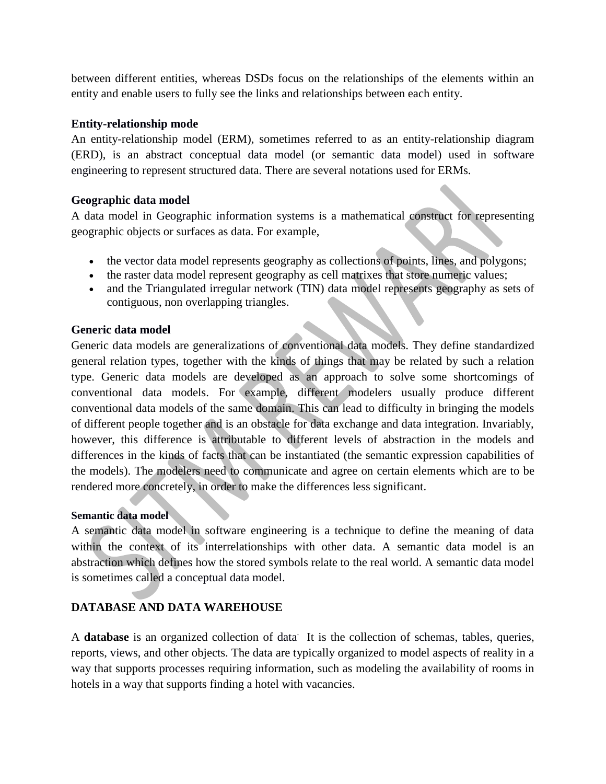between different entities, whereas DSDs focus on the relationships of the elements within an entity and enable users to fully see the links and relationships between each entity.

#### **Entity-relationship mode**

An entity-relationship model (ERM), sometimes referred to as an entity-relationship diagram (ERD), is an abstract [conceptual data model](https://en.wikipedia.org/wiki/Conceptual_schema) (or [semantic data model\)](https://en.wikipedia.org/wiki/Semantic_data_model) used in [software](https://en.wikipedia.org/wiki/Software_engineering)  [engineering](https://en.wikipedia.org/wiki/Software_engineering) to represent structured data. There are several notations used for ERMs.

# **Geographic data model**

A data model in [Geographic information systems](https://en.wikipedia.org/wiki/Geographic_information_system) is a mathematical construct for representing geographic objects or surfaces as data. For example,

- the [vector](https://en.wikipedia.org/wiki/Vector_graphics) data model represents geography as collections of points, lines, and polygons;
- the [raster](https://en.wikipedia.org/wiki/Raster_graphics) data model represent geography as cell matrixes that store numeric values;
- and the [Triangulated irregular network](https://en.wikipedia.org/wiki/Triangulated_irregular_network) (TIN) data model represents geography as sets of contiguous, non overlapping triangles.

#### **Generic data model**

Generic data models are generalizations of conventional data models. They define standardized general relation types, together with the kinds of things that may be related by such a relation type. Generic data models are developed as an approach to solve some shortcomings of conventional data models. For example, different modelers usually produce different conventional data models of the same domain. This can lead to difficulty in bringing the models of different people together and is an obstacle for data exchange and data integration. Invariably, however, this difference is attributable to different levels of abstraction in the models and differences in the kinds of facts that can be instantiated (the semantic expression capabilities of the models). The modelers need to communicate and agree on certain elements which are to be rendered more concretely, in order to make the differences less significant.

#### **Semantic data model**

A semantic data model in software engineering is a technique to define the meaning of data within the context of its interrelationships with other data. A semantic data model is an abstraction which defines how the stored symbols relate to the real world. A semantic data model is sometimes called a [conceptual data model.](https://en.wikipedia.org/wiki/Conceptual_data_model)

# **DATABASE AND DATA WAREHOUSE**

A **database** is an organized collection of data. It is the collection of [schemas,](https://en.wikipedia.org/wiki/Database_schema) [tables,](https://en.wikipedia.org/wiki/Table_(database)) [queries,](https://en.wikipedia.org/wiki/Query_language) reports, [views,](https://en.wikipedia.org/wiki/View_(SQL)) and other objects. The data are typically organized to model aspects of reality in a way that supports [processes](https://en.wikipedia.org/wiki/Process_(computing)) requiring information, such as modeling the availability of rooms in hotels in a way that supports finding a hotel with vacancies.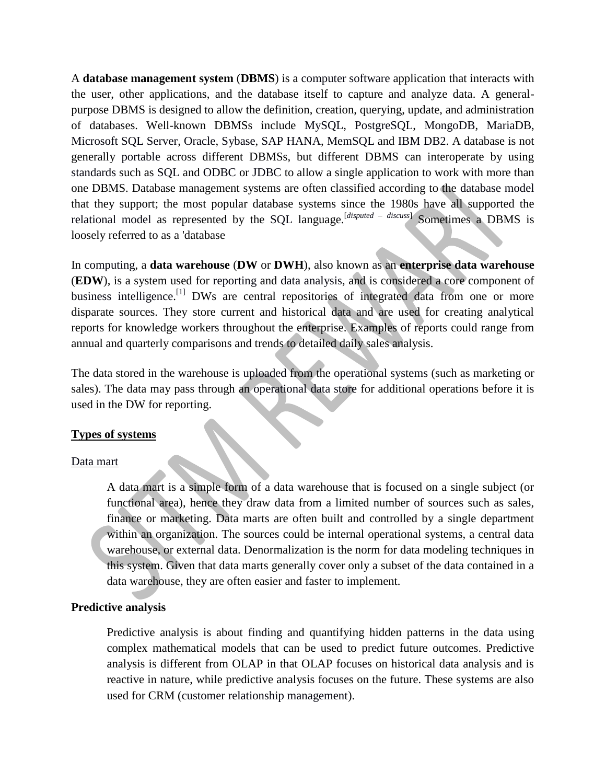A **database management system** (**DBMS**) is a [computer software](https://en.wikipedia.org/wiki/Computer_software) application that interacts with the user, other applications, and the database itself to capture and analyze data. A generalpurpose DBMS is designed to allow the definition, creation, querying, update, and administration of databases. Well-known DBMSs include [MySQL,](https://en.wikipedia.org/wiki/MySQL) [PostgreSQL,](https://en.wikipedia.org/wiki/PostgreSQL) [MongoDB,](https://en.wikipedia.org/wiki/MongoDB) [MariaDB,](https://en.wikipedia.org/wiki/MariaDB) [Microsoft SQL Server,](https://en.wikipedia.org/wiki/Microsoft_SQL_Server) [Oracle,](https://en.wikipedia.org/wiki/Oracle_Database) [Sybase,](https://en.wikipedia.org/wiki/Sybase) [SAP HANA,](https://en.wikipedia.org/wiki/SAP_HANA) [MemSQL](https://en.wikipedia.org/wiki/MemSQL) and [IBM DB2.](https://en.wikipedia.org/wiki/IBM_DB2) A database is not generally [portable](https://en.wikipedia.org/wiki/Software_portability) across different DBMSs, but different DBMS can interoperate by using [standards](https://en.wikipedia.org/wiki/Technical_standard) such as [SQL](https://en.wikipedia.org/wiki/SQL) and [ODBC](https://en.wikipedia.org/wiki/ODBC) or [JDBC](https://en.wikipedia.org/wiki/JDBC) to allow a single application to work with more than one DBMS. Database management systems are often classified according to the [database model](https://en.wikipedia.org/wiki/Database_model) that they support; the most popular database systems since the 1980s have all supported the [relational model](https://en.wikipedia.org/wiki/Relational_model) as represented by the [SQL](https://en.wikipedia.org/wiki/SQL) language.<sup>[[disputed](https://en.wikipedia.org/wiki/Wikipedia:Disputed_statement) – [discuss](https://en.wikipedia.org/wiki/Talk:Database#All_SQL.3F)]</sup> Sometimes a DBMS is loosely referred to as a 'database

In [computing,](https://en.wikipedia.org/wiki/Computing) a **data warehouse** (**DW** or **DWH**), also known as an **enterprise data warehouse** (**EDW**), is a system used for [reporting](https://en.wikipedia.org/wiki/Business_reporting) and [data analysis,](https://en.wikipedia.org/wiki/Data_analysis) and is considered a core component of [business intelligence.](https://en.wikipedia.org/wiki/Business_intelligence)<sup>[\[1\]](https://en.wikipedia.org/wiki/Data_warehouse#cite_note-1)</sup> DWs are central repositories of integrated data from one or more disparate sources. They store current and historical data and are used for creating analytical reports for knowledge workers throughout the enterprise. Examples of reports could range from annual and quarterly comparisons and trends to detailed daily sales analysis.

The data stored in the warehouse is [uploaded](https://en.wikipedia.org/wiki/Upload) from the [operational systems](https://en.wikipedia.org/wiki/Operational_system) (such as marketing or sales). The data may pass through an [operational data store](https://en.wikipedia.org/wiki/Operational_data_store) for additional operations before it is used in the DW for reporting.

#### **Types of systems**

#### [Data mart](https://en.wikipedia.org/wiki/Data_mart)

A data mart is a simple form of a data warehouse that is focused on a single subject (or functional area), hence they draw data from a limited number of sources such as sales, finance or marketing. Data marts are often built and controlled by a single department within an organization. The sources could be internal operational systems, a central data warehouse, or external data. Denormalization is the norm for data modeling techniques in this system. Given that data marts generally cover only a subset of the data contained in a data warehouse, they are often easier and faster to implement.

#### **Predictive analysis**

Predictive analysis is about [finding](https://en.wikipedia.org/wiki/Pattern_recognition) and quantifying hidden patterns in the data using complex mathematical models that can be used to [predict](https://en.wikipedia.org/wiki/Prediction) future outcomes. Predictive analysis is different from OLAP in that OLAP focuses on historical data analysis and is reactive in nature, while predictive analysis focuses on the future. These systems are also used for CRM [\(customer relationship management\)](https://en.wikipedia.org/wiki/Customer_relationship_management).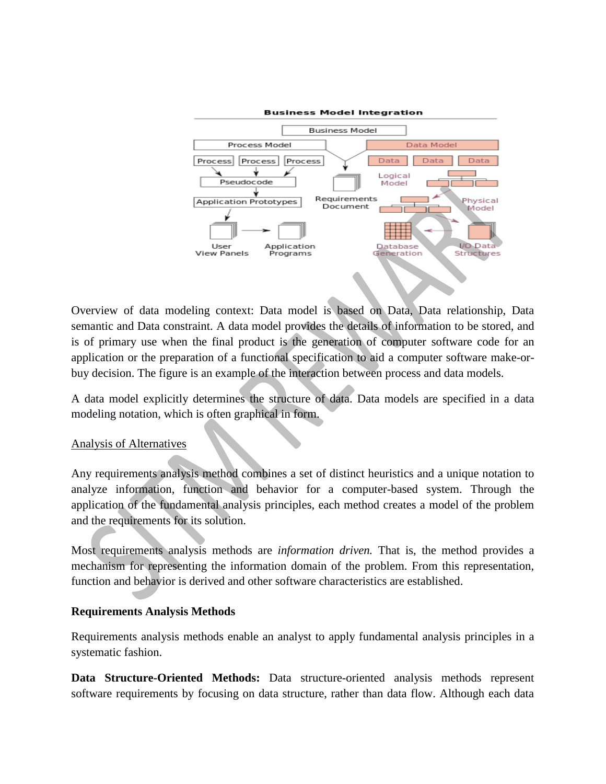

Overview of data modeling context: Data model is based on Data, Data relationship, Data semantic and Data constraint. A data model provides the details of [information](https://en.wikipedia.org/wiki/Information) to be stored, and is of primary use when the final product is the generation of computer [software code](https://en.wikipedia.org/wiki/Software_code) for an application or the preparation of a [functional specification](https://en.wikipedia.org/wiki/Functional_specification) to aid a [computer software](https://en.wikipedia.org/wiki/Computer_software) make-orbuy decision. The figure is an example of the interaction between [process](https://en.wikipedia.org/wiki/Business_process_modeling) and data models.

A data model explicitly determines the structure of data. Data models are specified in a [data](https://en.wikipedia.org/wiki/Data_modeling)  [modeling](https://en.wikipedia.org/wiki/Data_modeling) notation, which is often graphical in form.

# Analysis of Alternatives

Any requirements analysis method combines a set of distinct heuristics and a unique notation to analyze information, function and behavior for a computer-based system. Through the application of the fundamental analysis principles, each method creates a model of the problem and the requirements for its solution.

Most requirements analysis methods are *information driven.* That is, the method provides a mechanism for representing the information domain of the problem. From this representation, function and behavior is derived and other software characteristics are established.

# **Requirements Analysis Methods**

Requirements analysis methods enable an analyst to apply fundamental analysis principles in a systematic fashion.

**Data Structure-Oriented Methods:** Data structure-oriented analysis methods represent software requirements by focusing on data structure, rather than data flow. Although each data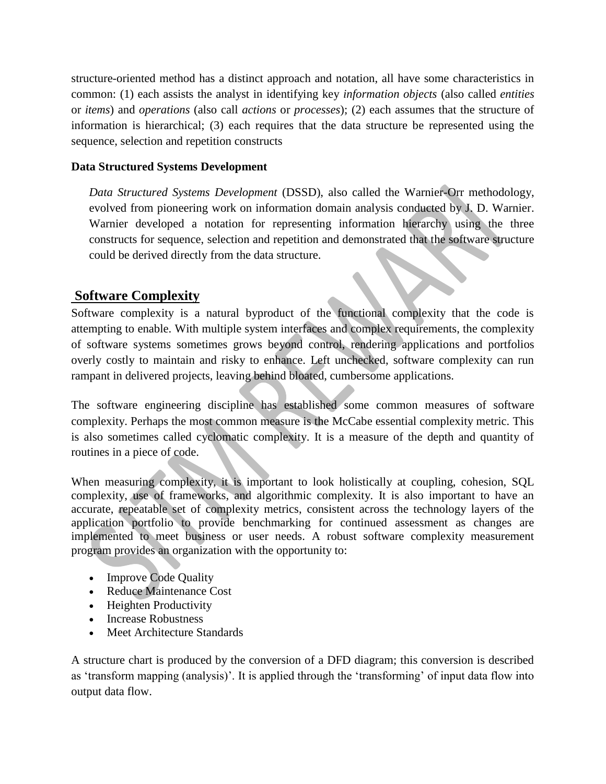structure-oriented method has a distinct approach and notation, all have some characteristics in common: (1) each assists the analyst in identifying key *information objects* (also called *entities* or *items*) and *operations* (also call *actions* or *processes*); (2) each assumes that the structure of information is hierarchical; (3) each requires that the data structure be represented using the sequence, selection and repetition constructs

# **Data Structured Systems Development**

*Data Structured Systems Development* (DSSD), also called the Warnier-Orr methodology, evolved from pioneering work on information domain analysis conducted by J. D. Warnier. Warnier developed a notation for representing information hierarchy using the three constructs for sequence, selection and repetition and demonstrated that the software structure could be derived directly from the data structure.

# **Software Complexity**

Software complexity is a natural byproduct of the functional complexity that the code is attempting to enable. With multiple system interfaces and complex requirements, the complexity of software systems sometimes grows beyond control, rendering applications and portfolios overly costly to maintain and risky to enhance. Left unchecked, software complexity can run rampant in delivered projects, leaving behind bloated, cumbersome applications.

The software engineering discipline has established some common measures of software complexity. Perhaps the most common measure is the McCabe essential complexity metric. This is also sometimes called cyclomatic complexity. It is a measure of the depth and quantity of routines in a piece of code.

When measuring complexity, it is important to look holistically at coupling, cohesion, SQL complexity, use of frameworks, and algorithmic complexity. It is also important to have an accurate, repeatable set of complexity metrics, consistent across the technology layers of the application portfolio to provide benchmarking for continued assessment as changes are implemented to meet business or user needs. A robust software complexity measurement program provides an organization with the opportunity to:

- Improve Code Quality
- Reduce Maintenance Cost
- Heighten Productivity
- Increase Robustness
- Meet Architecture Standards

A structure chart is produced by the conversion of a DFD diagram; this conversion is described as 'transform mapping (analysis)'. It is applied through the 'transforming' of input data flow into output data flow.